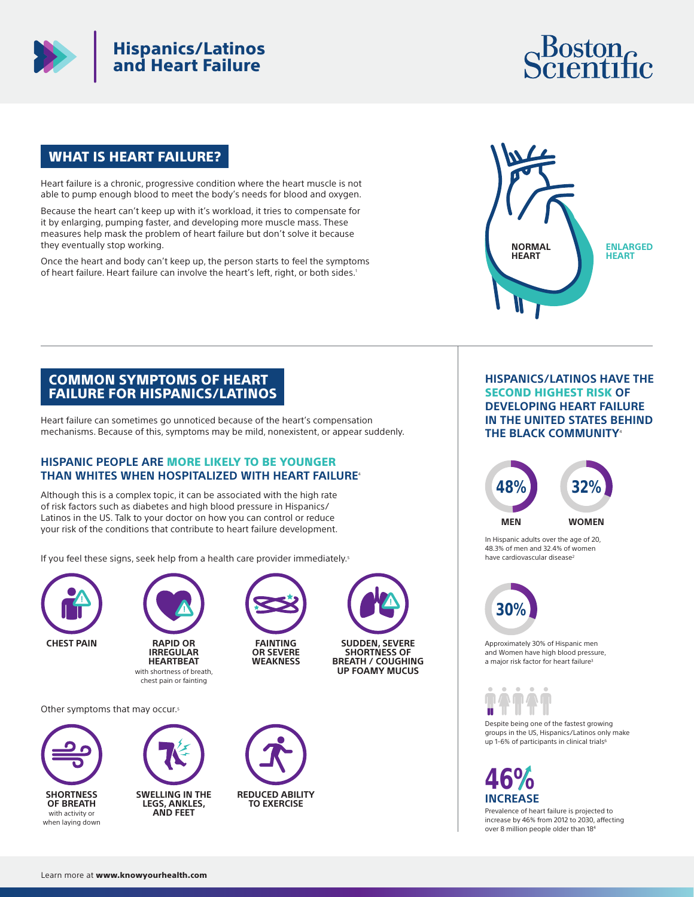

# Hispanics/Latinos and Heart Failure

# Boston<sub>e</sub>

### WHAT IS HEART FAILURE?

Heart failure is a chronic, progressive condition where the heart muscle is not able to pump enough blood to meet the body's needs for blood and oxygen.

Because the heart can't keep up with it's workload, it tries to compensate for it by enlarging, pumping faster, and developing more muscle mass. These measures help mask the problem of heart failure but don't solve it because they eventually stop working.

Once the heart and body can't keep up, the person starts to feel the symptoms of heart failure. Heart failure can involve the heart's left, right, or both sides.1



#### COMMON SYMPTOMS OF HEART FAILURE FOR HISPANICS/LATINOS

Heart failure can sometimes go unnoticed because of the heart's compensation mechanisms. Because of this, symptoms may be mild, nonexistent, or appear suddenly.

#### **HISPANIC PEOPLE ARE** MORE LIKELY TO BE YOUNGER **THAN WHITES WHEN HOSPITALIZED WITH HEART FAILURE**<sup>4</sup>

Although this is a complex topic, it can be associated with the high rate of risk factors such as diabetes and high blood pressure in Hispanics/ Latinos in the US. Talk to your doctor on how you can control or reduce your risk of the conditions that contribute to heart failure development.

If you feel these signs, seek help from a health care provider immediately.<sup>5</sup>





**RAPID OR IRREGULAR HEARTBEAT**  with shortness of breath, chest pain or fainting



**FAINTING OR SEVERE WEAKNESS**



**SUDDEN, SEVERE SHORTNESS OF BREATH / COUGHING UP FOAMY MUCUS**

Other symptoms that may occur.<sup>5</sup>





**SWELLING IN THE LEGS, ANKLES, AND FEET**



#### **HISPANICS/LATINOS HAVE THE**  SECOND HIGHEST RISK **OF DEVELOPING HEART FAILURE IN THE UNITED STATES BEHIND THE BLACK COMMUNITY**<sup>4</sup>



In Hispanic adults over the age of 20, 48.3% of men and 32.4% of women have cardiovascular disease<sup>2</sup>



Approximately 30% of Hispanic men and Women have high blood pressure, a major risk factor for heart failure<sup>3</sup>

U

Despite being one of the fastest growing groups in the US, Hispanics/Latinos only make up 1-6% of participants in clinical trials<sup>6</sup>

# **46% INCREASE**

Prevalence of heart failure is projected to increase by 46% from 2012 to 2030, affecting over 8 million people older than 184